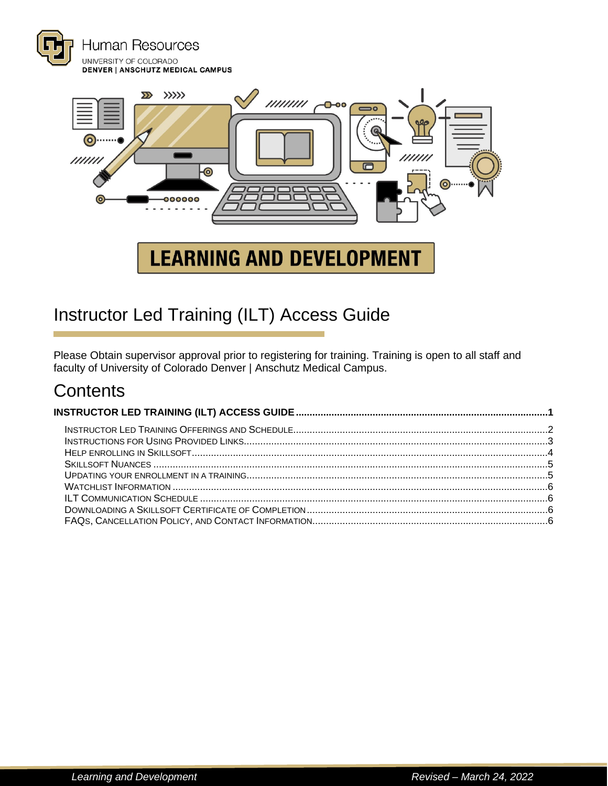



# <span id="page-0-0"></span>Instructor Led Training (ILT) Access Guide

Please Obtain supervisor approval prior to registering for training. Training is open to all staff and faculty of University of Colorado Denver | Anschutz Medical Campus.

# **Contents**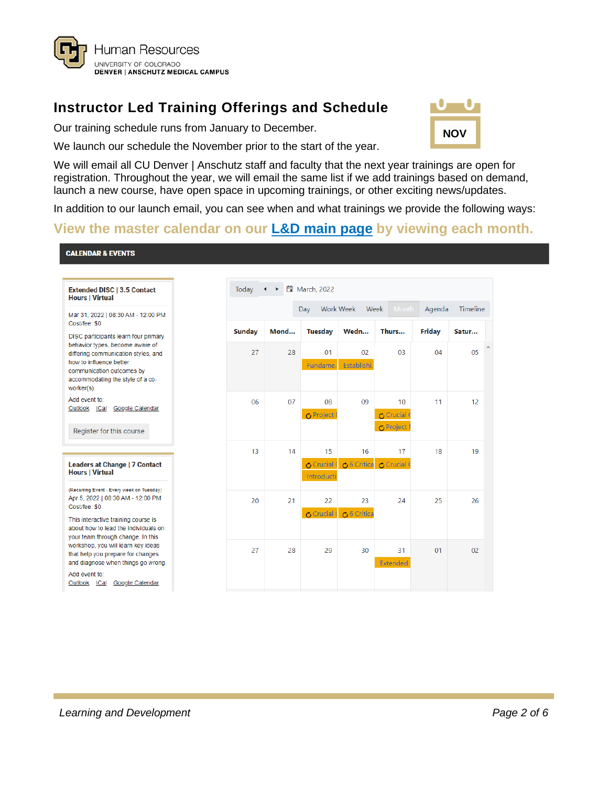

# <span id="page-1-0"></span>**Instructor Led Training Offerings and Schedule**

Our training schedule runs from January to December.



We launch our schedule the November prior to the start of the year.

We will email all CU Denver | Anschutz staff and faculty that the next year trainings are open for registration. Throughout the year, we will email the same list if we add trainings based on demand, launch a new course, have open space in upcoming trainings, or other exciting news/updates.

In addition to our launch email, you can see when and what trainings we provide the following ways:

### **[View the master calendar on our L&D main page](https://www1.ucdenver.edu/offices/human-resources/learning-development) by viewing each month.**

#### **CALENDAR & EVENTS**

| <b>Extended DISC   3.5 Contact</b><br><b>Hours   Virtual</b>                                                                                                                                                             |               |      | Today $\leftrightarrow$ $\Box$ March, 2022 |                        |                                                  |               |                 |
|--------------------------------------------------------------------------------------------------------------------------------------------------------------------------------------------------------------------------|---------------|------|--------------------------------------------|------------------------|--------------------------------------------------|---------------|-----------------|
| Mar 31, 2022   08:30 AM - 12:00 PM                                                                                                                                                                                       |               |      | Day                                        | Work Week<br>Week      | Month                                            | Agenda        | <b>Timeline</b> |
| Cost/fee: \$0                                                                                                                                                                                                            | <b>Sunday</b> | Mond | Tuesday                                    | Wedn                   | Thurs                                            | <b>Friday</b> | Satur           |
| DISC participants learn four primary<br>behavior types, become aware of<br>differing communication styles, and<br>how to influence better<br>communication outcomes by<br>accommodating the style of a co-<br>worker(s). | 27            | 28   | 01<br>Fundame.                             | 02<br>Establishi.      | 03                                               | 04            | 05              |
| Add event to:<br>Outlook<br><b>ICal</b><br>Google Calendar<br>Register for this course                                                                                                                                   | 06            | 07   | 08<br><b>O</b> Project                     | 09                     | 10<br>උ Crucial <sup>(</sup><br><b>O</b> Project | 11            | 12              |
| Leaders at Change   7 Contact<br><b>Hours   Virtual</b>                                                                                                                                                                  | 13            | 14   | 15<br><b>O</b> Crucial<br>Introducti       | 16<br><b>6</b> Critica | 17<br><b>心Crucial</b> 0                          | 18            | 19              |
| (Recurring Event - Every week on Tuesday)<br>Apr 5, 2022   08:30 AM - 12:00 PM<br>Cost/fee: \$0<br>This interactive training course is<br>about how to lead the individuals on                                           | 20            | 21   | 22<br>$C$ Crucial                          | 23<br>ර Critica        | 24                                               | 25            | 26              |
| your team through change. In this<br>workshop, you will learn key ideas<br>that help you prepare for changes<br>and diagnose when things go wrong.<br>Add event to:<br>Outlook<br><b>ICal</b><br><b>Google Calendar</b>  | 27            | 28   | 29                                         | 30                     | 31<br><b>Extended</b>                            | 01            | 0 <sup>2</sup>  |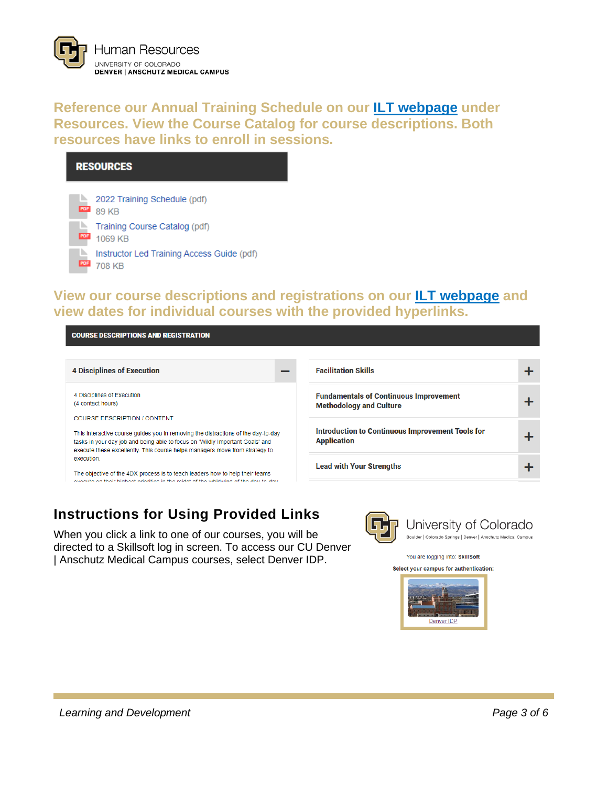

**Reference our Annual Training Schedule on our [ILT webpage](https://www1.ucdenver.edu/offices/human-resources/learning-development/instructor-led-training) under Resources. View the Course Catalog for course descriptions. Both [resources have links to enroll in sess](https://www1.ucdenver.edu/offices/human-resources/learning-development/instructor-led-training)ions.**

#### **RESOURCES**



### **View our course descriptions and registrations on our [ILT webpage](https://www1.ucdenver.edu/offices/human-resources/learning-development/instructor-led-training) and view dates for [individual courses with the provided hyperlinks.](https://www1.ucdenver.edu/offices/human-resources/learning-development/instructor-led-training)**

**COURSE DESCRIPTIONS AND REGISTRATION** 

| <b>4 Disciplines of Execution</b>                                                                                                                                                                                                                 | <b>Facilitation Skills</b>                                                      |  |
|---------------------------------------------------------------------------------------------------------------------------------------------------------------------------------------------------------------------------------------------------|---------------------------------------------------------------------------------|--|
| 4 Disciplines of Execution<br>(4 contact hours)<br>COURSE DESCRIPTION / CONTENT                                                                                                                                                                   | <b>Fundamentals of Continuous Improvement</b><br><b>Methodology and Culture</b> |  |
| This interactive course guides you in removing the distractions of the day-to-day<br>tasks in your day job and being able to focus on 'Wildly Important Goals' and<br>execute these excellently. This course helps managers move from strategy to | Introduction to Continuous Improvement Tools for<br><b>Application</b>          |  |
| execution<br>The objective of the 4DX process is to teach leaders how to help their teams<br>execute on their highest priorities in the midst of the whiskuind of the day to day.                                                                 | <b>Lead with Your Strengths</b>                                                 |  |

# <span id="page-2-0"></span>**Instructions for Using Provided Links**

When you click a link to one of our courses, you will be directed to a Skillsoft log in screen. To access our CU Denver | Anschutz Medical Campus courses, select Denver IDP.



University of Colorado Boulder | Colorado Springs | Denver | Anschutz Medical Campus

You are logging into: SkillSoft Select your campus for authentication:

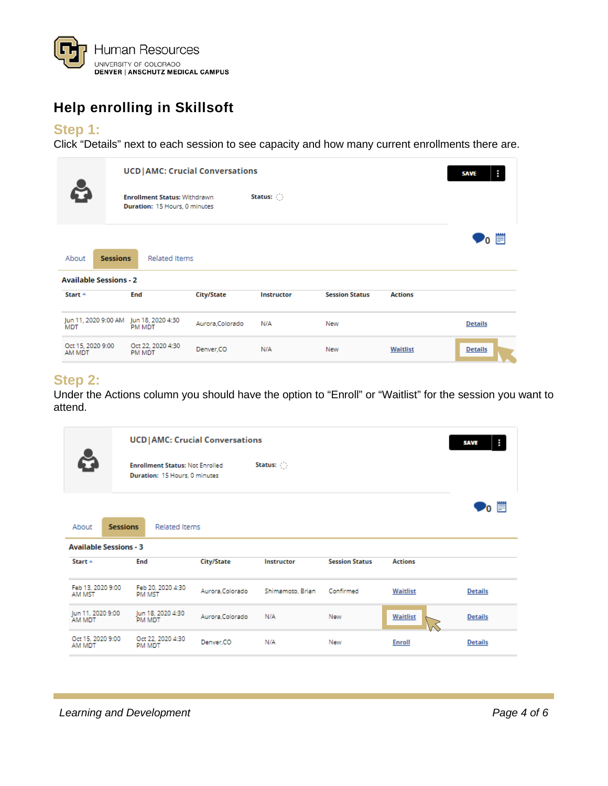

# <span id="page-3-0"></span>**Help enrolling in Skillsoft**

#### **Step 1:**

Click "Details" next to each session to see capacity and how many current enrollments there are.

|                               | <b>UCD   AMC: Crucial Conversations</b> | н<br><b>SAVE</b>                                                     |                   |                                 |                       |                |                |
|-------------------------------|-----------------------------------------|----------------------------------------------------------------------|-------------------|---------------------------------|-----------------------|----------------|----------------|
|                               |                                         | <b>Enrollment Status: Withdrawn</b><br>Duration: 15 Hours, 0 minutes |                   | Status: $\langle \cdot \rangle$ |                       |                |                |
| About                         | <b>Sessions</b>                         | <b>Related Items</b>                                                 |                   |                                 |                       |                | <b>'</b> 。曾    |
| <b>Available Sessions - 2</b> |                                         |                                                                      |                   |                                 |                       |                |                |
| Start $\triangle$             |                                         | <b>End</b>                                                           | <b>City/State</b> | Instructor                      | <b>Session Status</b> | <b>Actions</b> |                |
| <b>MDT</b>                    |                                         | Jun 11, 2020 9:00 AM Jun 18, 2020 4:30<br>PM MDT                     | Aurora, Colorado  | N/A                             | New                   |                | <b>Details</b> |
| Oct 15, 2020 9:00<br>AM MDT   |                                         | Oct 22, 2020 4:30<br>PM MDT                                          | Denver,CO         | N/A                             | New                   | Waitlist       | <b>Details</b> |

#### **Step 2:**

Under the Actions column you should have the option to "Enroll" or "Waitlist" for the session you want to attend.

|                               | <b>UCD</b>   AMC: Crucial Conversations                                                |                 |                   |                       |                |                |  |  |  |  |
|-------------------------------|----------------------------------------------------------------------------------------|-----------------|-------------------|-----------------------|----------------|----------------|--|--|--|--|
|                               | Status: ( )<br><b>Enrollment Status: Not Enrolled</b><br>Duration: 15 Hours, 0 minutes |                 |                   |                       |                |                |  |  |  |  |
| <b>Sessions</b><br>About      | <b>Related Items</b>                                                                   |                 |                   |                       |                | n ⊟            |  |  |  |  |
| <b>Available Sessions - 3</b> |                                                                                        |                 |                   |                       |                |                |  |  |  |  |
| Start $\triangle$             | End                                                                                    | City/State      | <b>Instructor</b> | <b>Session Status</b> | <b>Actions</b> |                |  |  |  |  |
| Feb 13, 2020 9:00<br>AM MST   | Feb 20, 2020 4:30<br><b>PM MST</b>                                                     | Aurora.Colorado | Shimamoto, Brian  | Confirmed             | Waitlist       | <b>Details</b> |  |  |  |  |
| Jun 11, 2020 9:00<br>AM MDT   | Jun 18, 2020 4:30<br><b>PM MDT</b>                                                     | Aurora Colorado | N/A               | New                   | Waitlist       | <b>Details</b> |  |  |  |  |
| Oct 15, 2020 9:00<br>AM MDT   | Oct 22, 2020 4:30<br><b>PM MDT</b>                                                     | Denver.CO       | N/A               | New                   | <b>Enroll</b>  | <b>Details</b> |  |  |  |  |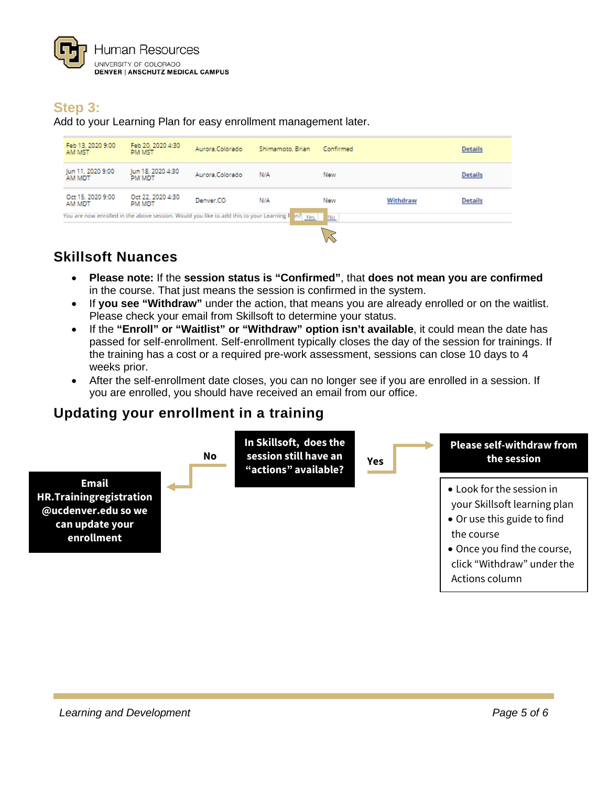

## **Step 3:**

Add to your Learning Plan for easy enrollment management later.

| Feb 13, 2020 9:00<br>AM MST | Feb 20, 2020 4:30<br>PM MST        | Aurora.Colorado | Shimamoto, Brian                                                                                 | Confirmed |          | <b>Details</b> |
|-----------------------------|------------------------------------|-----------------|--------------------------------------------------------------------------------------------------|-----------|----------|----------------|
| Jun 11, 2020 9:00<br>AM MDT | Jun 18, 2020 4:30<br><b>PM MDT</b> | Aurora.Colorado | N/A                                                                                              | New       |          | <b>Details</b> |
| Oct 15, 2020 9:00<br>AM MDT | Oct 22, 2020 4:30<br>PM MDT        | Denver.CO       | N/A                                                                                              | New       | Withdraw | <b>Details</b> |
|                             |                                    |                 | You are now enrolled in the above session. Would you like to add this to your Learning F in? Yes | No.       |          |                |
|                             |                                    |                 |                                                                                                  |           |          |                |

### <span id="page-4-0"></span>**Skillsoft Nuances**

- **Please note:** If the **session status is "Confirmed"**, that **does not mean you are confirmed** in the course. That just means the session is confirmed in the system.
- If **you see "Withdraw"** under the action, that means you are already enrolled or on the waitlist. Please check your email from Skillsoft to determine your status.
- If the **"Enroll" or "Waitlist" or "Withdraw" option isn't available**, it could mean the date has passed for self-enrollment. Self-enrollment typically closes the day of the session for trainings. If the training has a cost or a required pre-work assessment, sessions can close 10 days to 4 weeks prior.
- After the self-enrollment date closes, you can no longer see if you are enrolled in a session. If you are enrolled, you should have received an email from our office.

# <span id="page-4-1"></span>**Updating your enrollment in a training**